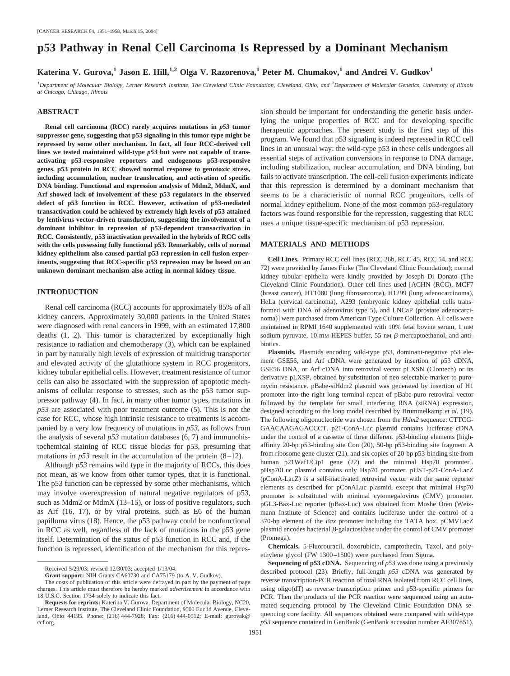# **p53 Pathway in Renal Cell Carcinoma Is Repressed by a Dominant Mechanism**

# **Katerina V. Gurova,**<sup>1</sup> **Jason E. Hill,**<sup>1,2</sup> **Olga V. Razorenova,**<sup>1</sup> **Peter M. Chumakov,**<sup>1</sup> and Andrei V. Gudkov<sup>1</sup>

<sup>*1*</sup> Department of Molecular Biology, Lerner Research Institute, The Cleveland Clinic Foundation, Cleveland, Ohio, and <sup>2</sup> Department of Molecular Genetics, University of Illinois *at Chicago, Chicago, Illinois*

# **ABSTRACT**

**Renal cell carcinoma (RCC) rarely acquires mutations in** *p53* **tumor suppressor gene, suggesting that p53 signaling in this tumor type might be repressed by some other mechanism. In fact, all four RCC-derived cell lines we tested maintained wild-type** *p53* **but were not capable of transactivating p53-responsive reporters and endogenous p53-responsive genes. p53 protein in RCC showed normal response to genotoxic stress, including accumulation, nuclear translocation, and activation of specific DNA binding. Functional and expression analysis of Mdm2, MdmX, and Arf showed lack of involvement of these p53 regulators in the observed defect of p53 function in RCC. However, activation of p53-mediated transactivation could be achieved by extremely high levels of p53 attained by lentivirus vector-driven transduction, suggesting the involvement of a dominant inhibitor in repression of p53-dependent transactivation in RCC. Consistently, p53 inactivation prevailed in the hybrids of RCC cells with the cells possessing fully functional p53. Remarkably, cells of normal kidney epithelium also caused partial p53 repression in cell fusion experiments, suggesting that RCC-specific p53 repression may be based on an unknown dominant mechanism also acting in normal kidney tissue.**

# **INTRODUCTION**

Renal cell carcinoma (RCC) accounts for approximately 85% of all kidney cancers. Approximately 30,000 patients in the United States were diagnosed with renal cancers in 1999, with an estimated 17,800 deaths (1, 2). This tumor is characterized by exceptionally high resistance to radiation and chemotherapy (3), which can be explained in part by naturally high levels of expression of multidrug transporter and elevated activity of the glutathione system in RCC progenitors, kidney tubular epithelial cells. However, treatment resistance of tumor cells can also be associated with the suppression of apoptotic mechanisms of cellular response to stresses, such as the p53 tumor suppressor pathway (4). In fact, in many other tumor types, mutations in *p53* are associated with poor treatment outcome (5). This is not the case for RCC, whose high intrinsic resistance to treatments is accompanied by a very low frequency of mutations in *p53*, as follows from the analysis of several *p53* mutation databases (6, 7) and immunohistochemical staining of RCC tissue blocks for p53, presuming that mutations in  $p53$  result in the accumulation of the protein  $(8-12)$ .

Although *p53* remains wild type in the majority of RCCs, this does not mean, as we know from other tumor types, that it is functional. The p53 function can be repressed by some other mechanisms, which may involve overexpression of natural negative regulators of p53, such as Mdm2 or MdmX (13-15), or loss of positive regulators, such as Arf (16, 17), or by viral proteins, such as E6 of the human papilloma virus (18). Hence, the p53 pathway could be nonfunctional in RCC as well, regardless of the lack of mutations in the p53 gene itself. Determination of the status of p53 function in RCC and, if the function is repressed, identification of the mechanism for this repression should be important for understanding the genetic basis underlying the unique properties of RCC and for developing specific therapeutic approaches. The present study is the first step of this program. We found that p53 signaling is indeed repressed in RCC cell lines in an unusual way: the wild-type p53 in these cells undergoes all essential steps of activation conversions in response to DNA damage, including stabilization, nuclear accumulation, and DNA binding, but fails to activate transcription. The cell-cell fusion experiments indicate that this repression is determined by a dominant mechanism that seems to be a characteristic of normal RCC progenitors, cells of normal kidney epithelium. None of the most common p53-regulatory factors was found responsible for the repression, suggesting that RCC uses a unique tissue-specific mechanism of p53 repression.

#### **MATERIALS AND METHODS**

**Cell Lines.** Primary RCC cell lines (RCC 26b, RCC 45, RCC 54, and RCC 72) were provided by James Finke (The Cleveland Clinic Foundation); normal kidney tubular epithelia were kindly provided by Joseph Di Donato (The Cleveland Clinic Foundation). Other cell lines used [ACHN (RCC), MCF7 (breast cancer), HT1080 (lung fibrosarcoma), H1299 (lung adenocarcinoma), HeLa (cervical carcinoma), A293 (embryonic kidney epithelial cells transformed with DNA of adenovirus type 5), and LNCaP (prostate adenocarcinoma)] were purchased from American Type Culture Collection. All cells were maintained in RPMI 1640 supplemented with 10% fetal bovine serum, 1 mM sodium pyruvate, 10 mm HEPES buffer, 55 nm  $\beta$ -mercaptoethanol, and antibiotics.

**Plasmids.** Plasmids encoding wild-type p53, dominant-negative p53 element GSE56, and Arf cDNA were generated by insertion of p53 cDNA, GSE56 DNA, or Arf cDNA into retroviral vector pLXSN (Clontech) or its derivative pLXSP, obtained by substitution of neo selectable marker to puromycin resistance. pBabe-siHdm2 plasmid was generated by insertion of H1 promoter into the right long terminal repeat of pBabe-puro retroviral vector followed by the template for small interfering RNA (siRNA) expression, designed according to the loop model described by Brummelkamp *et al.* (19). The following oligonucleotide was chosen from the *Hdm2* sequence: CTTCG-GAACAAGAGACCCT. p21-ConA-Luc plasmid contains luciferase cDNA under the control of a cassette of three different p53-binding elements [highaffinity 20-bp p53-binding site Con (20), 50-bp p53-binding site fragment A from ribosome gene cluster (21), and six copies of 20-bp p53-binding site from human p21Waf1/Cip1 gene (22) and the minimal Hsp70 promoter]. pHsp70Luc plasmid contains only Hsp70 promoter. pUST-p21-ConA-LacZ (pConA-LacZ) is a self-inactivated retroviral vector with the same reporter elements as described for pConALuc plasmid, except that minimal Hsp70 promoter is substituted with minimal cytomegalovirus (CMV) promoter. pGL3-Bax-Luc reporter (pBax-Luc) was obtained from Moshe Oren (Weizmann Institute of Science) and contains luciferase under the control of a 370-bp element of the *Bax* promoter including the TATA box. pCMVLacZ plasmid encodes bacterial  $\beta$ -galactosidase under the control of CMV promoter (Promega).

**Chemicals.** 5-Fluorouracil, doxorubicin, camptothecin, Taxol, and polyethylene glycol (FW 1300–1500) were purchased from Sigma.

**Sequencing of p53 cDNA.** Sequencing of *p53* was done using a previously described protocol (23). Briefly, full-length *p53* cDNA was generated by reverse transcription-PCR reaction of total RNA isolated from RCC cell lines, using oligo(dT) as reverse transcription primer and p53-specific primers for PCR. Then the products of the PCR reaction were sequenced using an automated sequencing protocol by The Cleveland Clinic Foundation DNA sequencing core facility. All sequences obtained were compared with wild-type *p53* sequence contained in GenBank (GenBank accession number AF307851).

Received 5/29/03; revised 12/30/03; accepted 1/13/04.

**Grant support:** NIH Grants CA60730 and CA75179 (to A. V. Gudkov).

The costs of publication of this article were defrayed in part by the payment of page charges. This article must therefore be hereby marked *advertisement* in accordance with 18 U.S.C. Section 1734 solely to indicate this fact.

**Requests for reprints:** Katerina V. Gurova, Department of Molecular Biology, NC20, Lerner Research Institute, The Cleveland Clinic Foundation, 9500 Euclid Avenue, Cleveland, Ohio 44195. Phone: (216) 444-7928; Fax: (216) 444-0512; E-mail: gurovak@ ccf.org.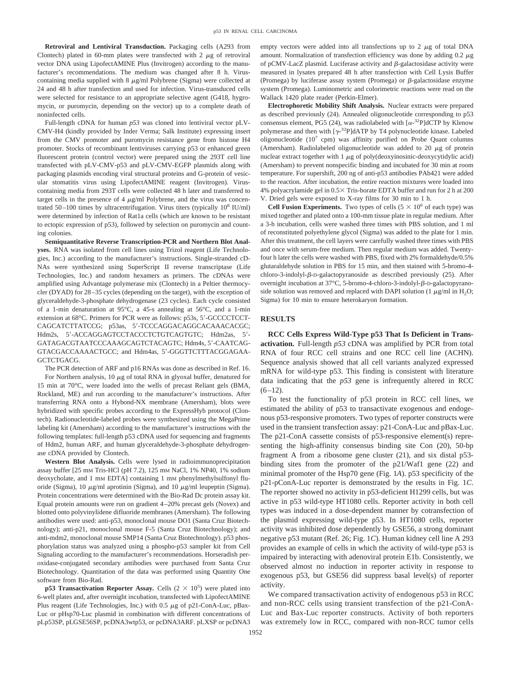**Retroviral and Lentiviral Transduction.** Packaging cells (A293 from Clontech) plated in 60-mm plates were transfected with 2  $\mu$ g of retroviral vector DNA using LipofectAMINE Plus (Invitrogen) according to the manufacturer's recommendations. The medium was changed after 8 h. Viruscontaining media supplied with  $8 \mu g/ml$  Polybrene (Sigma) were collected at 24 and 48 h after transfection and used for infection. Virus-transduced cells were selected for resistance to an appropriate selective agent (G418, hygromycin, or puromycin, depending on the vector) up to a complete death of noninfected cells.

Full-length cDNA for human *p53* was cloned into lentiviral vector pLV-CMV-H4 (kindly provided by Inder Verma; Salk Institute) expressing insert from the CMV promoter and puromycin resistance gene from histone H4 promoter. Stocks of recombinant lentiviruses carrying p53 or enhanced green fluorescent protein (control vector) were prepared using the 293T cell line transfected with pLV-CMV-p53 and pLV-CMV-EGFP plasmids along with packaging plasmids encoding viral structural proteins and G-protein of vesicular stomatitis virus using LipofectAMINE reagent (Invitrogen). Viruscontaining media from 293T cells were collected 48 h later and transferred to target cells in the presence of 4  $\mu$ g/ml Polybrene, and the virus was concentrated  $50-100$  times by ultracentrifugation. Virus titers (typically  $10^8$  IU/ml) were determined by infection of Rat1a cells (which are known to be resistant to ectopic expression of p53), followed by selection on puromycin and counting colonies.

**Semiquantitative Reverse Transcription-PCR and Northern Blot Analyses.** RNA was isolated from cell lines using Trizol reagent (Life Technologies, Inc.) according to the manufacturer's instructions. Single-stranded cD-NAs were synthesized using SuperScript II reverse transcriptase (Life Technologies, Inc.) and random hexamers as primers. The cDNAs were amplified using Advantage polymerase mix (Clontech) in a Peltier thermocycler (DYAD) for 28–35 cycles (depending on the target), with the exception of glyceraldehyde-3-phosphate dehydrogenase (23 cycles). Each cycle consisted of a 1-min denaturation at 95°C, a 45-s annealing at 56°C, and a 1-min extension at 68°C. Primers for PCR were as follows: p53s, 5'-GCCCCTCCT-CAGCATCTTATCCG; p53as, 5'-TCCCAGGACAGGCACAAACACGC; Hdm2s, 5'-ACCAGGAGTCCTACCCTCTGTCAGTGTC; Hdm2as, 5'-GATAGACGTAATCCCAAAGCAGTCTACAGTC; Hdm4s, 5'-CAATCAG-GTACGACCAAAACTGCC; and Hdm4as, 5-GGGTTCTTTACGGAGAA-GCTCTGACG.

The PCR detection of ARF and p16 RNAs was done as described in Ref. 16. For Northern analysis,  $10 \mu g$  of total RNA in glyoxal buffer, denatured for 15 min at 70°C, were loaded into the wells of precast Reliant gels (BMA, Rockland, ME) and run according to the manufacturer's instructions. After transferring RNA onto a Hybond-NX membrane (Amersham), blots were hybridized with specific probes according to the ExpressHyb protocol (Clontech). Radionucleotide-labeled probes were synthesized using the MegaPrime labeling kit (Amersham) according to the manufacturer's instructions with the following templates: full-length p53 cDNA used for sequencing and fragments of Hdm2, human ARF, and human glyceraldehyde-3-phosphate dehydrogenase cDNA provided by Clontech.

**Western Blot Analysis.** Cells were lysed in radioimmunoprecipitation assay buffer [25 mM Tris-HCl (pH 7.2), 125 mM NaCl, 1% NP40, 1% sodium deoxycholate, and 1 mm EDTA] containing 1 mm phenylmethylsulfonyl fluoride (Sigma), 10  $\mu$ g/ml aprotinin (Sigma), and 10  $\mu$ g/ml leupeptin (Sigma). Protein concentrations were determined with the Bio-Rad Dc protein assay kit. Equal protein amounts were run on gradient 4–20% precast gels (Novex) and blotted onto polyvinylidene difluoride membranes (Amersham). The following antibodies were used: anti-p53, monoclonal mouse DO1 (Santa Cruz Biotechnology); anti-p21, monoclonal mouse F-5 (Santa Cruz Biotechnology); and anti-mdm2, monoclonal mouse SMP14 (Santa Cruz Biotechnology). p53 phosphorylation status was analyzed using a phospho-p53 sampler kit from Cell Signaling according to the manufacturer's recommendations. Horseradish peroxidase-conjugated secondary antibodies were purchased from Santa Cruz Biotechnology. Quantitation of the data was performed using Quantity One software from Bio-Rad.

**p53 Transactivation Reporter Assay.** Cells  $(2 \times 10^5)$  were plated into 6-well plates and, after overnight incubation, transfected with LipofectAMINE Plus reagent (Life Technologies, Inc.) with  $0.5 \mu$ g of p21-ConA-Luc, pBax-Luc or pHsp70-Luc plasmid in combination with different concentrations of pLp53SP, pLGSE56SP, pcDNA3wtp53, or pcDNA3ARF. pLXSP or pcDNA3

empty vectors were added into all transfections up to  $2 \mu g$  of total DNA amount. Normalization of transfection efficiency was done by adding  $0.2 \mu$ g of pCMV-LacZ plasmid. Luciferase activity and  $\beta$ -galactosidase activity were measured in lysates prepared 48 h after transfection with Cell Lysis Buffer (Promega) by luciferase assay system (Promega) or  $\beta$ -galactosidase enzyme system (Promega). Luminometric and colorimetric reactions were read on the Wallack 1420 plate reader (Perkin-Elmer).

**Electrophoretic Mobility Shift Analysis.** Nuclear extracts were prepared as described previously (24). Annealed oligonucleotide corresponding to p53 consensus element, PG5 (24), was radiolabeled with  $[\alpha^{-32}P]$ dCTP by Klenow polymerase and then with  $[\gamma^{32}P]$ dATP by T4 polynucleotide kinase. Labeled oligonucleotide  $(10^7 \text{ cpm})$  was affinity purified on Probe Quant columns (Amersham). Radiolabeled oligonucleotide was added to 20  $\mu$ g of protein nuclear extract together with  $1 \mu$ g of poly(deoxyinosinic-deoxycytidylic acid) (Amersham) to prevent nonspecific binding and incubated for 30 min at room temperature. For supershift, 200 ng of anti-p53 antibodies PAb421 were added to the reaction. After incubation, the entire reaction mixtures were loaded into 4% polyacrylamide gel in  $0.5 \times$  Tris-borate EDTA buffer and run for 2 h at 200 V. Dried gels were exposed to X-ray films for 30 min to 1 h.

**Cell Fusion Experiments.** Two types of cells  $(5 \times 10^6 \text{ of each type})$  was mixed together and plated onto a 100-mm tissue plate in regular medium. After a 3-h incubation, cells were washed three times with PBS solution, and 1 ml of reconstituted polyethylene glycol (Sigma) was added to the plate for 1 min. After this treatment, the cell layers were carefully washed three times with PBS and once with serum-free medium. Then regular medium was added. Twentyfour h later the cells were washed with PBS, fixed with 2% formaldehyde/0.5% glutaraldehyde solution in PBS for 15 min, and then stained with 5-bromo-4 chloro-3-indolyl- $\beta$ -D-galactopyranoside as described previously (25). After overnight incubation at  $37^{\circ}$ C, 5-bromo-4-chloro-3-indolyl- $\beta$ -D-galactopyranoside solution was removed and replaced with DAPI solution (1  $\mu$ g/ml in H<sub>2</sub>O; Sigma) for 10 min to ensure heterokaryon formation.

#### **RESULTS**

**RCC Cells Express Wild-Type p53 That Is Deficient in Transactivation.** Full-length *p53* cDNA was amplified by PCR from total RNA of four RCC cell strains and one RCC cell line (ACHN). Sequence analysis showed that all cell variants analyzed expressed mRNA for wild-type p53. This finding is consistent with literature data indicating that the *p53* gene is infrequently altered in RCC  $(6-12)$ .

To test the functionality of p53 protein in RCC cell lines, we estimated the ability of p53 to transactivate exogenous and endogenous p53-responsive promoters. Two types of reporter constructs were used in the transient transfection assay: p21-ConA-Luc and pBax-Luc. The p21-ConA cassette consists of p53-responsive element(s) representing the high-affinity consensus binding site Con (20), 50-bp fragment A from a ribosome gene cluster (21), and six distal p53 binding sites from the promoter of the p21/Waf1 gene (22) and minimal promoter of the Hsp70 gene (Fig. 1*A*). p53 specificity of the p21-pConA-Luc reporter is demonstrated by the results in Fig. 1*C*. The reporter showed no activity in p53-deficient H1299 cells, but was active in p53 wild-type HT1080 cells. Reporter activity in both cell types was induced in a dose-dependent manner by cotransfection of the plasmid expressing wild-type p53. In HT1080 cells, reporter activity was inhibited dose dependently by GSE56, a strong dominant negative p53 mutant (Ref. 26; Fig. 1*C*). Human kidney cell line A 293 provides an example of cells in which the activity of wild-type p53 is impaired by interacting with adenoviral protein E1b. Consistently, we observed almost no induction in reporter activity in response to exogenous p53, but GSE56 did suppress basal level(s) of reporter activity.

We compared transactivation activity of endogenous p53 in RCC and non-RCC cells using transient transfection of the p21-ConA-Luc and Bax-Luc reporter constructs. Activity of both reporters was extremely low in RCC, compared with non-RCC tumor cells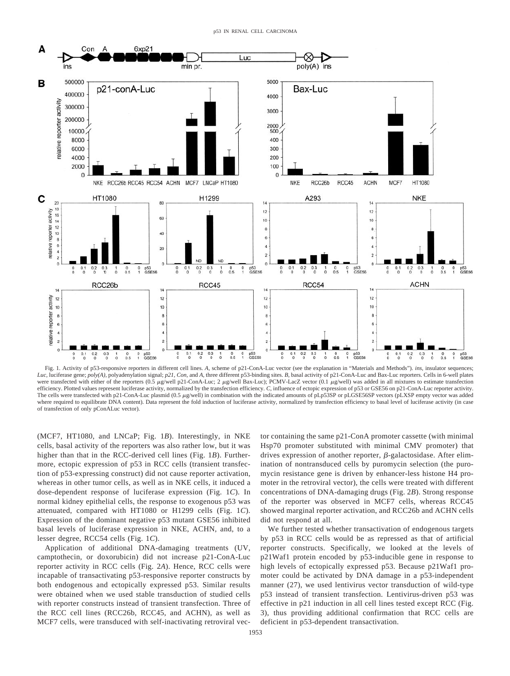

Fig. 1. Activity of p53-responsive reporters in different cell lines. *A,* scheme of p21-ConA-Luc vector (see the explanation in "Materials and Methods"). *ins,* insulator sequences; *Luc,* luciferase gene; *poly(A),* polyadenylation signal; *p21, Con,* and *A,* three different p53-binding sites. *B,* basal activity of p21-ConA-Luc and Bax-Luc reporters. Cells in 6-well plates were transfected with either of the reporters (0.5 µg/well p21-ConA-Luc; 2 µg/well Bax-Luc); PCMV-LacZ vector (0.1 µg/well) was added in all mixtures to estimate transfection efficiency. Plotted values represent luciferase activity, normalized by the transfection efficiency. *C*, influence of ectopic expression of p53 or GSE56 on p21-ConA-Luc reporter activity. The cells were transfected with p21-ConA-Luc plasmid (0.5  $\mu$ g/well) in combination with the indicated amounts of pLp53SP or pLGSE56SP vectors (pLXSP empty vector was added where required to equilibrate DNA content). Data represent the fold induction of luciferase activity, normalized by transfection efficiency to basal level of luciferase activity (in case of transfection of only pConALuc vector).

(MCF7, HT1080, and LNCaP; Fig. 1*B*). Interestingly, in NKE cells, basal activity of the reporters was also rather low, but it was higher than that in the RCC-derived cell lines (Fig. 1*B*). Furthermore, ectopic expression of p53 in RCC cells (transient transfection of p53-expressing construct) did not cause reporter activation, whereas in other tumor cells, as well as in NKE cells, it induced a dose-dependent response of luciferase expression (Fig. 1*C*). In normal kidney epithelial cells, the response to exogenous p53 was attenuated, compared with HT1080 or H1299 cells (Fig. 1*C*). Expression of the dominant negative p53 mutant GSE56 inhibited basal levels of luciferase expression in NKE, ACHN, and, to a lesser degree, RCC54 cells (Fig. 1*C*).

Application of additional DNA-damaging treatments (UV, camptothecin, or doxorubicin) did not increase p21-ConA-Luc reporter activity in RCC cells (Fig. 2*A*). Hence, RCC cells were incapable of transactivating p53-responsive reporter constructs by both endogenous and ectopically expressed p53. Similar results were obtained when we used stable transduction of studied cells with reporter constructs instead of transient transfection. Three of the RCC cell lines (RCC26b, RCC45, and ACHN), as well as MCF7 cells, were transduced with self-inactivating retroviral vector containing the same p21-ConA promoter cassette (with minimal Hsp70 promoter substituted with minimal CMV promoter) that drives expression of another reporter,  $\beta$ -galactosidase. After elimination of nontransduced cells by puromycin selection (the puromycin resistance gene is driven by enhancer-less histone H4 promoter in the retroviral vector), the cells were treated with different concentrations of DNA-damaging drugs (Fig. 2*B*). Strong response of the reporter was observed in MCF7 cells, whereas RCC45 showed marginal reporter activation, and RCC26b and ACHN cells did not respond at all.

We further tested whether transactivation of endogenous targets by p53 in RCC cells would be as repressed as that of artificial reporter constructs. Specifically, we looked at the levels of p21Waf1 protein encoded by p53-inducible gene in response to high levels of ectopically expressed p53. Because p21Waf1 promoter could be activated by DNA damage in a p53-independent manner (27), we used lentivirus vector transduction of wild-type p53 instead of transient transfection. Lentivirus-driven p53 was effective in p21 induction in all cell lines tested except RCC (Fig. 3), thus providing additional confirmation that RCC cells are deficient in p53-dependent transactivation.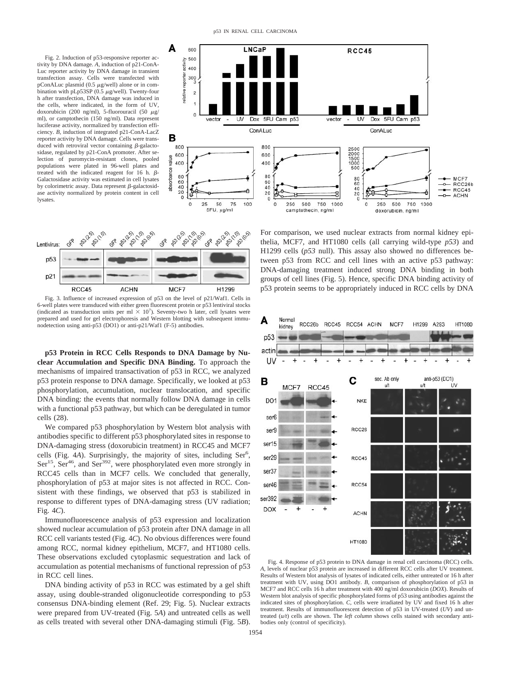Fig. 2. Induction of p53-responsive reporter activity by DNA damage. *A,* induction of p21-ConA-Luc reporter activity by DNA damage in transient transfection assay. Cells were transfected with  $pConALuc$  plasmid (0.5  $\mu$ g/well) alone or in combination with  $pLp53SP(0.5 \mu g/well)$ . Twenty-four h after transfection, DNA damage was induced in the cells, where indicated, in the form of UV, doxorubicin (200 ng/ml), 5-fluorouracil (50  $\mu$ g/ ml), or camptothecin (150 ng/ml). Data represent luciferase activity, normalized by transfection efficiency. *B,* induction of integrated p21-ConA-LacZ reporter activity by DNA damage. Cells were transduced with retroviral vector containing  $\beta$ -galactosidase, regulated by p21-ConA promoter. After selection of puromycin-resistant clones, pooled populations were plated in 96-well plates and treated with the indicated reagent for 16 h.  $\beta$ -Galactosidase activity was estimated in cell lysates by colorimetric assay. Data represent  $\beta$ -galactosidase activity normalized by protein content in cell lysates.





Fig. 3. Influence of increased expression of p53 on the level of p21/Waf1. Cells in 6-well plates were transduced with either green fluorescent protein or p53 lentiviral stocks (indicated as transduction units per ml  $\times$  10<sup>7</sup>). Seventy-two h later, cell lysates were prepared and used for gel electrophoresis and Western blotting with subsequent immunodetection using anti-p53 (DO1) or anti-p21/Waf1 (F-5) antibodies.

**p53 Protein in RCC Cells Responds to DNA Damage by Nuclear Accumulation and Specific DNA Binding.** To approach the mechanisms of impaired transactivation of p53 in RCC, we analyzed p53 protein response to DNA damage. Specifically, we looked at p53 phosphorylation, accumulation, nuclear translocation, and specific DNA binding: the events that normally follow DNA damage in cells with a functional p53 pathway, but which can be deregulated in tumor cells (28).

We compared p53 phosphorylation by Western blot analysis with antibodies specific to different p53 phosphorylated sites in response to DNA-damaging stress (doxorubicin treatment) in RCC45 and MCF7 cells (Fig. 4A). Surprisingly, the majority of sites, including Ser<sup>6</sup>,  $\text{Ser}^{15}$ ,  $\text{Ser}^{46}$ , and  $\text{Ser}^{392}$ , were phosphorylated even more strongly in RCC45 cells than in MCF7 cells. We concluded that generally, phosphorylation of p53 at major sites is not affected in RCC. Consistent with these findings, we observed that p53 is stabilized in response to different types of DNA-damaging stress (UV radiation; Fig. 4*C*).

Immunofluorescence analysis of p53 expression and localization showed nuclear accumulation of p53 protein after DNA damage in all RCC cell variants tested (Fig. 4*C*). No obvious differences were found among RCC, normal kidney epithelium, MCF7, and HT1080 cells. These observations excluded cytoplasmic sequestration and lack of accumulation as potential mechanisms of functional repression of p53 in RCC cell lines.

DNA binding activity of p53 in RCC was estimated by a gel shift assay, using double-stranded oligonucleotide corresponding to p53 consensus DNA-binding element (Ref. 29; Fig. 5). Nuclear extracts were prepared from UV-treated (Fig. 5*A*) and untreated cells as well as cells treated with several other DNA-damaging stimuli (Fig. 5*B*).

For comparison, we used nuclear extracts from normal kidney epithelia, MCF7, and HT1080 cells (all carrying wild-type *p53*) and H1299 cells (*p53* null). This assay also showed no differences between p53 from RCC and cell lines with an active p53 pathway: DNA-damaging treatment induced strong DNA binding in both groups of cell lines (Fig. 5). Hence, specific DNA binding activity of p53 protein seems to be appropriately induced in RCC cells by DNA



Fig. 4. Response of p53 protein to DNA damage in renal cell carcinoma (RCC) cells. *A,* levels of nuclear p53 protein are increased in different RCC cells after UV treatment. Results of Western blot analysis of lysates of indicated cells, either untreated or 16 h after treatment with UV, using DO1 antibody. *B,* comparison of phosphorylation of p53 in MCF7 and RCC cells 16 h after treatment with 400 ng/ml doxorubicin (*DOX*). Results of Western blot analysis of specific phosphorylated forms of p53 using antibodies against the indicated sites of phosphorylation. *C,* cells were irradiated by UV and fixed 16 h after treatment. Results of immunofluorescent detection of p53 in UV-treated (*UV*) and untreated (*u/t*) cells are shown. The *left column* shows cells stained with secondary antibodies only (control of specificity).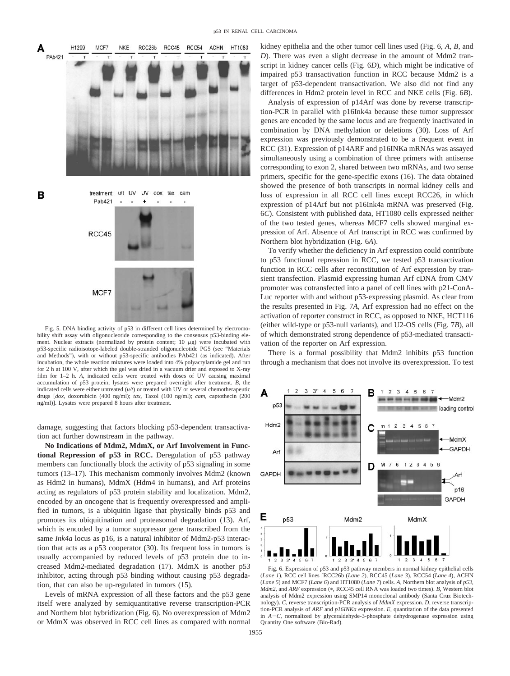

Fig. 5. DNA binding activity of p53 in different cell lines determined by electromobility shift assay with oligonucleotide corresponding to the consensus p53-binding element. Nuclear extracts (normalized by protein content; 10  $\mu$ g) were incubated with p53-specific radioisotope-labeled double-stranded oligonucleotide PG5 (see "Materials and Methods"), with or without p53-specific antibodies PAb421 (as indicated). After incubation, the whole reaction mixtures were loaded into 4% polyacrylamide gel and run for 2 h at 100 V, after which the gel was dried in a vacuum drier and exposed to X-ray film for 1–2 h. *A,* indicated cells were treated with doses of UV causing maximal accumulation of p53 protein; lysates were prepared overnight after treatment. *B,* the indicated cells were either untreated (*u/t*) or treated with UV or several chemotherapeutic drugs [*dox,* doxorubicin (400 ng/ml); *tax,* Taxol (100 ng/ml); *cam,* captothecin (200 ng/ml)]. Lysates were prepared 8 hours after treatment.

damage, suggesting that factors blocking p53-dependent transactivation act further downstream in the pathway.

**No Indications of Mdm2, MdmX, or Arf Involvement in Functional Repression of p53 in RCC.** Deregulation of p53 pathway members can functionally block the activity of p53 signaling in some tumors (13–17). This mechanism commonly involves Mdm2 (known as Hdm2 in humans), MdmX (Hdm4 in humans), and Arf proteins acting as regulators of p53 protein stability and localization. Mdm2, encoded by an oncogene that is frequently overexpressed and amplified in tumors, is a ubiquitin ligase that physically binds p53 and promotes its ubiquitination and proteasomal degradation (13). Arf, which is encoded by a tumor suppressor gene transcribed from the same *Ink4a* locus as p16, is a natural inhibitor of Mdm2-p53 interaction that acts as a p53 cooperator (30). Its frequent loss in tumors is usually accompanied by reduced levels of p53 protein due to increased Mdm2-mediated degradation (17). MdmX is another p53 inhibitor, acting through p53 binding without causing p53 degradation, that can also be up-regulated in tumors (15).

Levels of mRNA expression of all these factors and the p53 gene itself were analyzed by semiquantitative reverse transcription-PCR and Northern blot hybridization (Fig. 6). No overexpression of Mdm2 or MdmX was observed in RCC cell lines as compared with normal kidney epithelia and the other tumor cell lines used (Fig. 6, *A, B,* and *D*). There was even a slight decrease in the amount of Mdm2 transcript in kidney cancer cells (Fig. 6*D*), which might be indicative of impaired p53 transactivation function in RCC because Mdm2 is a target of p53-dependent transactivation. We also did not find any differences in Hdm2 protein level in RCC and NKE cells (Fig. 6*B*).

Analysis of expression of p14Arf was done by reverse transcription-PCR in parallel with p16Ink4a because these tumor suppressor genes are encoded by the same locus and are frequently inactivated in combination by DNA methylation or deletions (30). Loss of Arf expression was previously demonstrated to be a frequent event in RCC (31). Expression of p14ARF and p16INKa mRNAs was assayed simultaneously using a combination of three primers with antisense corresponding to exon 2, shared between two mRNAs, and two sense primers, specific for the gene-specific exons (16). The data obtained showed the presence of both transcripts in normal kidney cells and loss of expression in all RCC cell lines except RCC26, in which expression of p14Arf but not p16Ink4a mRNA was preserved (Fig. 6*C*). Consistent with published data, HT1080 cells expressed neither of the two tested genes, whereas MCF7 cells showed marginal expression of Arf. Absence of Arf transcript in RCC was confirmed by Northern blot hybridization (Fig. 6*A*).

To verify whether the deficiency in Arf expression could contribute to p53 functional repression in RCC, we tested p53 transactivation function in RCC cells after reconstitution of Arf expression by transient transfection. Plasmid expressing human Arf cDNA from CMV promoter was cotransfected into a panel of cell lines with p21-ConA-Luc reporter with and without p53-expressing plasmid. As clear from the results presented in Fig. 7*A,* Arf expression had no effect on the activation of reporter construct in RCC, as opposed to NKE, HCT116 (either wild-type or p53-null variants), and U2-OS cells (Fig. 7*B*), all of which demonstrated strong dependence of p53-mediated transactivation of the reporter on Arf expression.

There is a formal possibility that Mdm2 inhibits p53 function through a mechanism that does not involve its overexpression. To test



Fig. 6. Expression of p53 and p53 pathway members in normal kidney epithelial cells (*Lane 1*), RCC cell lines [RCC26b (*Lane 2*), RCC45 (*Lane 3*), RCC54 (*Lane 4*), ACHN (*Lane 5*) and MCF7 (*Lane 6*) and HT1080 (*Lane 7*) cells. *A,* Northern blot analysis of *p53, Mdm2*, and *ARF* expression (\*, RCC45 cell RNA was loaded two times). *B*, Western blot analysis of Mdm2 expression using SMP14 monoclonal antibody (Santa Cruz Biotechnology). *C,* reverse transcription-PCR analysis of *MdmX* expression. *D,* reverse transcription-PCR analysis of *ARF* and *p16INKa* expression. *E,* quantitation of the data presented in  $A - C$ , normalized by glyceraldehyde-3-phosphate dehydrogenase expression using Quantity One software (Bio-Rad).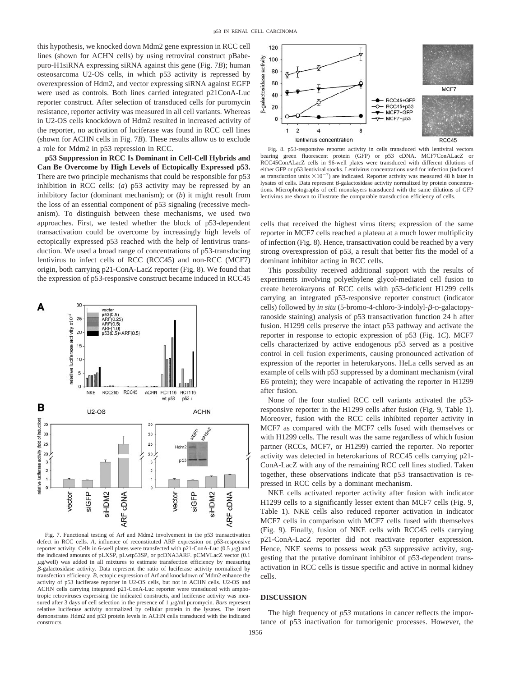this hypothesis, we knocked down Mdm2 gene expression in RCC cell lines (shown for ACHN cells) by using retroviral construct pBabepuro-H1siRNA expressing siRNA against this gene (Fig. 7*B*); human osteosarcoma U2-OS cells, in which p53 activity is repressed by overexpression of Hdm2, and vector expressing siRNA against EGFP were used as controls. Both lines carried integrated p21ConA-Luc reporter construct. After selection of transduced cells for puromycin resistance, reporter activity was measured in all cell variants. Whereas in U2-OS cells knockdown of Hdm2 resulted in increased activity of the reporter, no activation of luciferase was found in RCC cell lines (shown for ACHN cells in Fig. 7*B*). These results allow us to exclude a role for Mdm2 in p53 repression in RCC.

**p53 Suppression in RCC Is Dominant in Cell-Cell Hybrids and Can Be Overcome by High Levels of Ectopically Expressed p53.** There are two principle mechanisms that could be responsible for p53 inhibition in RCC cells: (*a*) p53 activity may be repressed by an inhibitory factor (dominant mechanism); or (*b*) it might result from the loss of an essential component of p53 signaling (recessive mechanism). To distinguish between these mechanisms, we used two approaches. First, we tested whether the block of p53-dependent transactivation could be overcome by increasingly high levels of ectopically expressed p53 reached with the help of lentivirus transduction. We used a broad range of concentrations of p53-transducing lentivirus to infect cells of RCC (RCC45) and non-RCC (MCF7) origin, both carrying p21-ConA-LacZ reporter (Fig. 8). We found that the expression of p53-responsive construct became induced in RCC45



Fig. 7. Functional testing of Arf and Mdm2 involvement in the p53 transactivation defect in RCC cells. *A,* influence of reconstituted ARF expression on p53-responsive reporter activity. Cells in 6-well plates were transfected with  $p21$ -ConA-Luc (0.5  $\mu$ g) and the indicated amounts of pLXSP, pLwtp53SP, or pcDNA3ARF. pCMVLacZ vector (0.1  $\mu$ g/well) was added in all mixtures to estimate transfection efficiency by measuring -galactosidase activity. Data represent the ratio of luciferase activity normalized by transfection efficiency. *B,* ectopic expression of Arf and knockdown of Mdm2 enhance the activity of p53 luciferase reporter in U2-OS cells, but not in ACHN cells. U2-OS and ACHN cells carrying integrated p21-ConA-Luc reporter were transduced with amphotropic retroviruses expressing the indicated constructs, and luciferase activity was measured after 3 days of cell selection in the presence of  $1 \mu g/ml$  puromycin. *Bars* represent relative luciferase activity normalized by cellular protein in the lysates. The insert demonstrates Hdm2 and p53 protein levels in ACHN cells transduced with the indicated constructs.



Fig. 8. p53-responsive reporter activity in cells transduced with lentiviral vectors bearing green fluorescent protein (GFP) or p53 cDNA. MCF7ConALacZ or RCC45ConALacZ cells in 96-well plates were transduced with different dilutions of either GFP or p53 lentiviral stocks. Lentivirus concentrations used for infection (indicated as transduction units  $\times 10^{-7}$ ) are indicated. Reporter activity was measured 48 h later in lysates of cells. Data represent  $\beta$ -galactosidase activity normalized by protein concentrations. Microphotographs of cell monolayers transduced with the same dilutions of GFP lentivirus are shown to illustrate the comparable transduction efficiency of cells.

cells that received the highest virus titers; expression of the same reporter in MCF7 cells reached a plateau at a much lower multiplicity of infection (Fig. 8). Hence, transactivation could be reached by a very strong overexpression of p53, a result that better fits the model of a dominant inhibitor acting in RCC cells.

This possibility received additional support with the results of experiments involving polyethylene glycol-mediated cell fusion to create heterokaryons of RCC cells with p53-deficient H1299 cells carrying an integrated p53-responsive reporter construct (indicator cells) followed by *in situ* (5-bromo-4-chloro-3-indolyl- $\beta$ -D-galactopyranoside staining) analysis of p53 transactivation function 24 h after fusion. H1299 cells preserve the intact p53 pathway and activate the reporter in response to ectopic expression of p53 (Fig. 1*C*). MCF7 cells characterized by active endogenous p53 served as a positive control in cell fusion experiments, causing pronounced activation of expression of the reporter in heterokaryons. HeLa cells served as an example of cells with p53 suppressed by a dominant mechanism (viral E6 protein); they were incapable of activating the reporter in H1299 after fusion.

None of the four studied RCC cell variants activated the p53 responsive reporter in the H1299 cells after fusion (Fig. 9, Table 1). Moreover, fusion with the RCC cells inhibited reporter activity in MCF7 as compared with the MCF7 cells fused with themselves or with H1299 cells. The result was the same regardless of which fusion partner (RCCs, MCF7, or H1299) carried the reporter. No reporter activity was detected in heterokarions of RCC45 cells carrying p21- ConA-LacZ with any of the remaining RCC cell lines studied. Taken together, these observations indicate that p53 transactivation is repressed in RCC cells by a dominant mechanism.

NKE cells activated reporter activity after fusion with indicator H1299 cells to a significantly lesser extent than MCF7 cells (Fig. 9, Table 1). NKE cells also reduced reporter activation in indicator MCF7 cells in comparison with MCF7 cells fused with themselves (Fig. 9). Finally, fusion of NKE cells with RCC45 cells carrying p21-ConA-LacZ reporter did not reactivate reporter expression. Hence, NKE seems to possess weak p53 suppressive activity, suggesting that the putative dominant inhibitor of p53-dependent transactivation in RCC cells is tissue specific and active in normal kidney cells.

# **DISCUSSION**

The high frequency of *p53* mutations in cancer reflects the importance of p53 inactivation for tumorigenic processes. However, the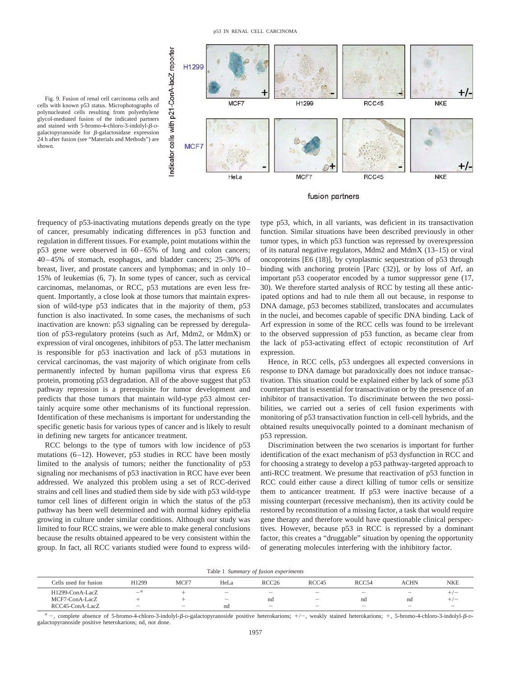

Fig. 9. Fusion of renal cell carcinoma cells and cells with known p53 status. Microphotographs of polynucleated cells resulting from polyethylene glycol-mediated fusion of the indicated partners and stained with 5-bromo-4-chloro-3-indolyl- $\beta$ -Dgalactopyranoside for  $\beta$ -galactosidase expression 24 h after fusion (see "Materials and Methods") are shown.

fusion partners

frequency of p53-inactivating mutations depends greatly on the type of cancer, presumably indicating differences in p53 function and regulation in different tissues. For example, point mutations within the p53 gene were observed in 60–65% of lung and colon cancers; 40–45% of stomach, esophagus, and bladder cancers; 25–30% of breast, liver, and prostate cancers and lymphomas; and in only 10– 15% of leukemias (6, 7). In some types of cancer, such as cervical carcinomas, melanomas, or RCC, p53 mutations are even less frequent. Importantly, a close look at those tumors that maintain expression of wild-type p53 indicates that in the majority of them, p53 function is also inactivated. In some cases, the mechanisms of such inactivation are known: p53 signaling can be repressed by deregulation of p53-regulatory proteins (such as Arf, Mdm2, or MdmX) or expression of viral oncogenes, inhibitors of p53. The latter mechanism is responsible for p53 inactivation and lack of p53 mutations in cervical carcinomas, the vast majority of which originate from cells permanently infected by human papilloma virus that express E6 protein, promoting p53 degradation. All of the above suggest that p53 pathway repression is a prerequisite for tumor development and predicts that those tumors that maintain wild-type p53 almost certainly acquire some other mechanisms of its functional repression. Identification of these mechanisms is important for understanding the specific genetic basis for various types of cancer and is likely to result in defining new targets for anticancer treatment.

RCC belongs to the type of tumors with low incidence of p53 mutations (6–12). However, p53 studies in RCC have been mostly limited to the analysis of tumors; neither the functionality of p53 signaling nor mechanisms of p53 inactivation in RCC have ever been addressed. We analyzed this problem using a set of RCC-derived strains and cell lines and studied them side by side with p53 wild-type tumor cell lines of different origin in which the status of the p53 pathway has been well determined and with normal kidney epithelia growing in culture under similar conditions. Although our study was limited to four RCC strains, we were able to make general conclusions because the results obtained appeared to be very consistent within the group. In fact, all RCC variants studied were found to express wildtype p53, which, in all variants, was deficient in its transactivation function. Similar situations have been described previously in other tumor types, in which p53 function was repressed by overexpression of its natural negative regulators, Mdm2 and MdmX (13–15) or viral oncoproteins [E6 (18)], by cytoplasmic sequestration of p53 through binding with anchoring protein [Parc (32)], or by loss of Arf, an important p53 cooperator encoded by a tumor suppressor gene (17, 30). We therefore started analysis of RCC by testing all these anticipated options and had to rule them all out because, in response to DNA damage, p53 becomes stabilized, translocates and accumulates in the nuclei, and becomes capable of specific DNA binding. Lack of Arf expression in some of the RCC cells was found to be irrelevant to the observed suppression of p53 function, as became clear from the lack of p53-activating effect of ectopic reconstitution of Arf expression.

Hence, in RCC cells, p53 undergoes all expected conversions in response to DNA damage but paradoxically does not induce transactivation. This situation could be explained either by lack of some p53 counterpart that is essential for transactivation or by the presence of an inhibitor of transactivation. To discriminate between the two possibilities, we carried out a series of cell fusion experiments with monitoring of p53 transactivation function in cell-cell hybrids, and the obtained results unequivocally pointed to a dominant mechanism of p53 repression.

Discrimination between the two scenarios is important for further identification of the exact mechanism of p53 dysfunction in RCC and for choosing a strategy to develop a p53 pathway-targeted approach to anti-RCC treatment. We presume that reactivation of p53 function in RCC could either cause a direct killing of tumor cells or sensitize them to anticancer treatment. If p53 were inactive because of a missing counterpart (recessive mechanism), then its activity could be restored by reconstitution of a missing factor, a task that would require gene therapy and therefore would have questionable clinical perspectives. However, because p53 in RCC is repressed by a dominant factor, this creates a "druggable" situation by opening the opportunity of generating molecules interfering with the inhibitory factor.

| Table 1 Summary of fusion experiments |  |  |  |  |
|---------------------------------------|--|--|--|--|
|---------------------------------------|--|--|--|--|

| Cells used for fusion | H <sub>1299</sub> | MCF7                     | HeLa                     | RCC26  | RCC45                    | RCC54                    | <b>ACHN</b>                     | NKE                      |  |  |  |
|-----------------------|-------------------|--------------------------|--------------------------|--------|--------------------------|--------------------------|---------------------------------|--------------------------|--|--|--|
| H1299-ConA-LacZ       | -                 |                          | $\overline{\phantom{a}}$ | $\sim$ | $\overline{\phantom{a}}$ | $\overline{\phantom{a}}$ | $\hspace{0.1mm}-\hspace{0.1mm}$ | $-1$                     |  |  |  |
| MCF7-ConA-LacZ        |                   |                          | $\overline{\phantom{a}}$ | nd     | $\sim$                   | nd                       | nd                              | $-1$                     |  |  |  |
| RCC45-ConA-LacZ       | $\sim$            | $\overline{\phantom{a}}$ | nd                       | $\sim$ | $\overline{\phantom{a}}$ | $\overline{\phantom{a}}$ | $\overline{\phantom{a}}$        | $\overline{\phantom{a}}$ |  |  |  |

-, complete absence of 5-bromo-4-chloro-3-indolyl-*B-*D-galactopyranoside positive heterokarions;  $+/-$ , weakly stained heterokarions;  $+$ , 5-bromo-4-chloro-3-indolyl-*B-*Dgalactopyranoside positive heterokarions; nd, not done.